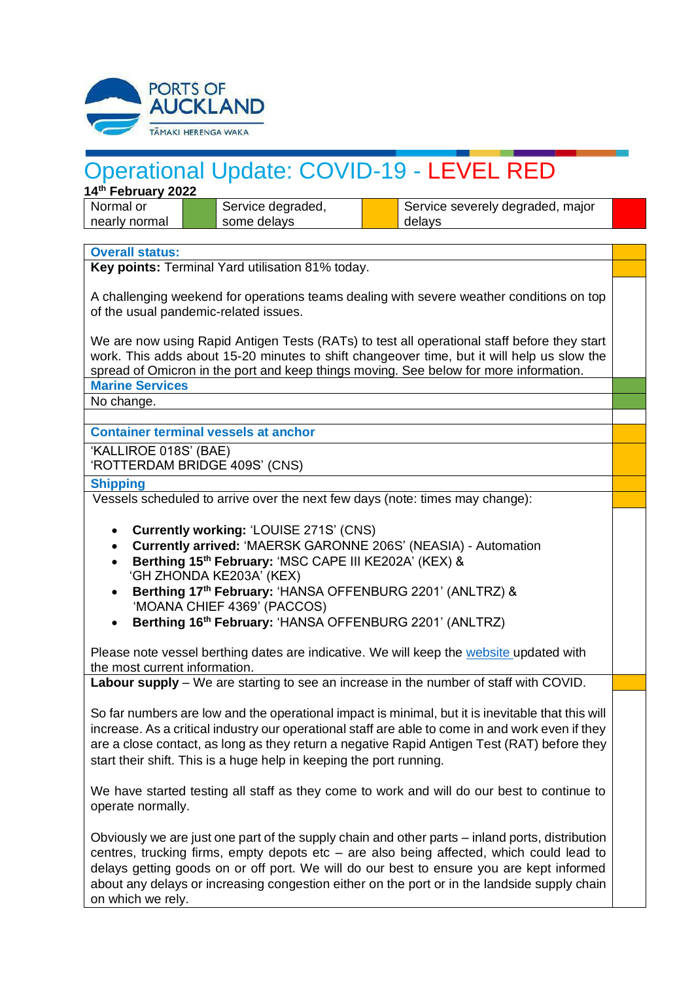

## Operational Update: COVID-19 - LEVEL RED

**14th February 2022**

Normal or nearly normal Service degraded, some delays

Service severely degraded, major delays

## **Overall status:**

**Key points:** Terminal Yard utilisation 81% today.

A challenging weekend for operations teams dealing with severe weather conditions on top of the usual pandemic-related issues.

We are now using Rapid Antigen Tests (RATs) to test all operational staff before they start work. This adds about 15-20 minutes to shift changeover time, but it will help us slow the spread of Omicron in the port and keep things moving. See below for more information.

**Marine Services**

No change.

**Container terminal vessels at anchor**

'KALLIROE 018S' (BAE) 'ROTTERDAM BRIDGE 409S' (CNS)

## **Shipping**

Vessels scheduled to arrive over the next few days (note: times may change):

- **Currently working:** 'LOUISE 271S' (CNS)
- **Currently arrived:** 'MAERSK GARONNE 206S' (NEASIA) Automation
- **Berthing 15th February:** 'MSC CAPE III KE202A' (KEX) & 'GH ZHONDA KE203A' (KEX)
- **Berthing 17th February:** 'HANSA OFFENBURG 2201' (ANLTRZ) & 'MOANA CHIEF 4369' (PACCOS)
- **Berthing 16 th February:** 'HANSA OFFENBURG 2201' (ANLTRZ)

Please note vessel berthing dates are indicative. We will keep the [website](https://apc01.safelinks.protection.outlook.com/?url=http%3A%2F%2Fwww.poal.co.nz%2F&data=04%7C01%7CBallM%40poal.co.nz%7Cf81681dfd77a4707771f08d99e6ca75c%7C2b23a40942664f41b89e60e72a40ef7f%7C0%7C0%7C637715011762958127%7CUnknown%7CTWFpbGZsb3d8eyJWIjoiMC4wLjAwMDAiLCJQIjoiV2luMzIiLCJBTiI6Ik1haWwiLCJXVCI6Mn0%3D%7C1000&sdata=Fha6YVp7kzv4EzxbVyWrJ6MwaPf%2FJYKhrqKzj7tEdT4%3D&reserved=0) updated with the most current information.

**Labour supply** – We are starting to see an increase in the number of staff with COVID.

So far numbers are low and the operational impact is minimal, but it is inevitable that this will increase. As a critical industry our operational staff are able to come in and work even if they are a close contact, as long as they return a negative Rapid Antigen Test (RAT) before they start their shift. This is a huge help in keeping the port running.

We have started testing all staff as they come to work and will do our best to continue to operate normally.

Obviously we are just one part of the supply chain and other parts – inland ports, distribution centres, trucking firms, empty depots etc – are also being affected, which could lead to delays getting goods on or off port. We will do our best to ensure you are kept informed about any delays or increasing congestion either on the port or in the landside supply chain on which we rely.